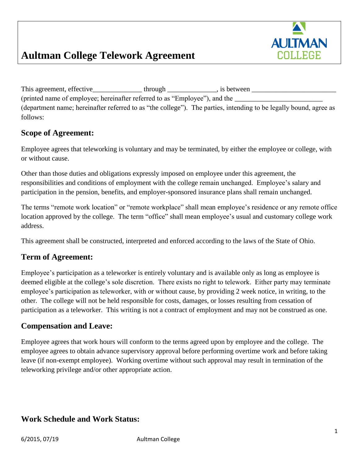

# **Aultman College Telework Agreement**

This agreement, effective\_\_\_\_\_\_\_\_\_\_\_\_\_\_ through \_\_\_\_\_\_\_\_\_\_\_\_\_\_, is between \_\_\_\_\_\_\_\_\_\_\_\_\_\_\_\_\_\_\_\_\_\_\_\_ (printed name of employee; hereinafter referred to as "Employee"), and the (department name; hereinafter referred to as "the college"). The parties, intending to be legally bound, agree as follows:

### **Scope of Agreement:**

 Employee agrees that teleworking is voluntary and may be terminated, by either the employee or college, with or without cause.

Other than those duties and obligations expressly imposed on employee under this agreement, the responsibilities and conditions of employment with the college remain unchanged. Employee's salary and participation in the pension, benefits, and employer-sponsored insurance plans shall remain unchanged.

The terms "remote work location" or "remote workplace" shall mean employee's residence or any remote office location approved by the college. The term "office" shall mean employee's usual and customary college work address.

This agreement shall be constructed, interpreted and enforced according to the laws of the State of Ohio.

### **Term of Agreement:**

 Employee's participation as a teleworker is entirely voluntary and is available only as long as employee is deemed eligible at the college's sole discretion. There exists no right to telework. Either party may terminate employee's participation as teleworker, with or without cause, by providing 2 week notice, in writing, to the other. The college will not be held responsible for costs, damages, or losses resulting from cessation of participation as a teleworker. This writing is not a contract of employment and may not be construed as one.

### **Compensation and Leave:**

Employee agrees that work hours will conform to the terms agreed upon by employee and the college. The employee agrees to obtain advance supervisory approval before performing overtime work and before taking leave (if non-exempt employee). Working overtime without such approval may result in termination of the teleworking privilege and/or other appropriate action.

### **Work Schedule and Work Status:**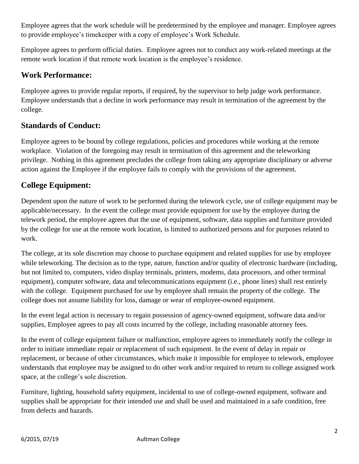Employee agrees that the work schedule will be predetermined by the employee and manager. Employee agrees to provide employee's timekeeper with a copy of employee's Work Schedule.

Employee agrees to perform official duties. Employee agrees not to conduct any work-related meetings at the remote work location if that remote work location is the employee's residence.

# **Work Performance:**

Employee agrees to provide regular reports, if required, by the supervisor to help judge work performance. Employee understands that a decline in work performance may result in termination of the agreement by the college.

## **Standards of Conduct:**

 privilege. Nothing in this agreement precludes the college from taking any appropriate disciplinary or adverse Employee agrees to be bound by college regulations, policies and procedures while working at the remote workplace. Violation of the foregoing may result in termination of this agreement and the teleworking action against the Employee if the employee fails to comply with the provisions of the agreement.

## **College Equipment:**

Dependent upon the nature of work to be performed during the telework cycle, use of college equipment may be applicable/necessary. In the event the college must provide equipment for use by the employee during the telework period, the employee agrees that the use of equipment, software, data supplies and furniture provided by the college for use at the remote work location, is limited to authorized persons and for purposes related to work.

 college does not assume liability for loss, damage or wear of employee-owned equipment. The college, at its sole discretion may choose to purchase equipment and related supplies for use by employee while teleworking. The decision as to the type, nature, function and/or quality of electronic hardware (including, but not limited to, computers, video display terminals, printers, modems, data processors, and other terminal equipment), computer software, data and telecommunications equipment (i.e., phone lines) shall rest entirely with the college. Equipment purchased for use by employee shall remain the property of the college. The

In the event legal action is necessary to regain possession of agency-owned equipment, software data and/or supplies, Employee agrees to pay all costs incurred by the college, including reasonable attorney fees.

In the event of college equipment failure or malfunction, employee agrees to immediately notify the college in order to initiate immediate repair or replacement of such equipment. In the event of delay in repair or replacement, or because of other circumstances, which make it impossible for employee to telework, employee understands that employee may be assigned to do other work and/or required to return to college assigned work space, at the college's sole discretion.

Furniture, lighting, household safety equipment, incidental to use of college-owned equipment, software and supplies shall be appropriate for their intended use and shall be used and maintained in a safe condition, free from defects and hazards.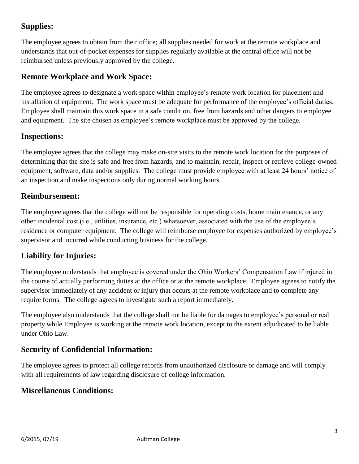# **Supplies:**

 The employee agrees to obtain from their office; all supplies needed for work at the remote workplace and understands that out-of-pocket expenses for supplies regularly available at the central office will not be reimbursed unless previously approved by the college.

# **Remote Workplace and Work Space:**

The employee agrees to designate a work space within employee's remote work location for placement and installation of equipment. The work space must be adequate for performance of the employee's official duties. Employee shall maintain this work space in a safe condition, free from hazards and other dangers to employee and equipment. The site chosen as employee's remote workplace must be approved by the college.

### **Inspections:**

The employee agrees that the college may make on-site visits to the remote work location for the purposes of determining that the site is safe and free from hazards, and to maintain, repair, inspect or retrieve college-owned equipment, software, data and/or supplies. The college must provide employee with at least 24 hours' notice of an inspection and make inspections only during normal working hours.

### **Reimbursement:**

The employee agrees that the college will not be responsible for operating costs, home maintenance, or any other incidental cost (i.e., utilities, insurance, etc.) whatsoever, associated with the use of the employee's residence or computer equipment. The college will reimburse employee for expenses authorized by employee's supervisor and incurred while conducting business for the college.

# **Liability for Injuries:**

 supervisor immediately of any accident or injury that occurs at the remote workplace and to complete any The employee understands that employee is covered under the Ohio Workers' Compensation Law if injured in the course of actually performing duties at the office or at the remote workplace. Employee agrees to notify the require forms. The college agrees to investigate such a report immediately.

 property while Employee is working at the remote work location, except to the extent adjudicated to be liable The employee also understands that the college shall not be liable for damages to employee's personal or real under Ohio Law.

### **Security of Confidential Information:**

The employee agrees to protect all college records from unauthorized disclosure or damage and will comply with all requirements of law regarding disclosure of college information.

### **Miscellaneous Conditions:**